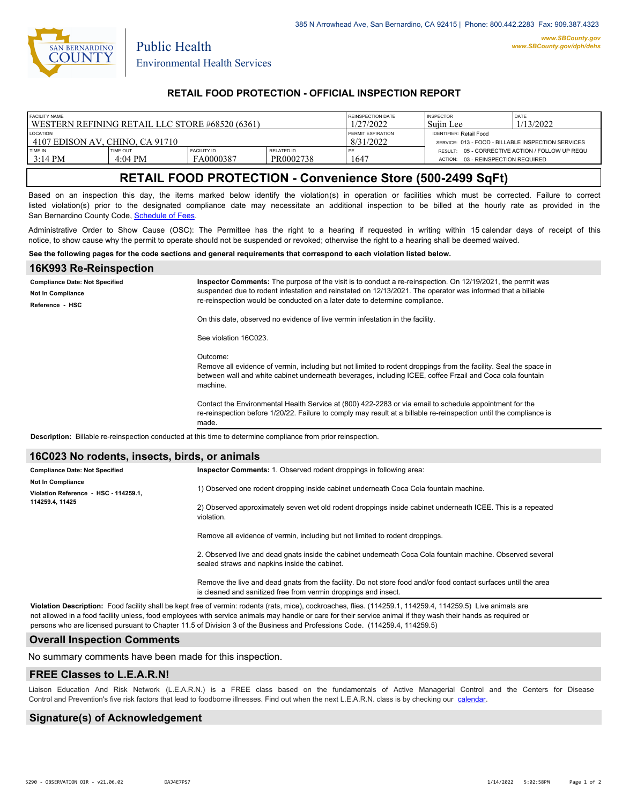

Public Health

## **RETAIL FOOD PROTECTION - OFFICIAL INSPECTION REPORT**

| <b>FACILITY NAME</b>                              |                   |                    |            | REINSPECTION DATE        | <b>INSPECTOR</b>                                   | <b>DATE</b>                                     |
|---------------------------------------------------|-------------------|--------------------|------------|--------------------------|----------------------------------------------------|-------------------------------------------------|
| l WESTERN REFINING RETAIL LLC STORE #68520 (6361) |                   |                    |            | 1/27/2022                | Suiin Lee                                          | 1/13/2022                                       |
| <b>LOCATION</b>                                   |                   |                    |            | <b>PERMIT EXPIRATION</b> | <b>IDENTIFIER: Retail Food</b>                     |                                                 |
| 14107 EDISON AV. CHINO, CA 91710                  |                   |                    |            | 8/31/2022                | SERVICE: 013 - FOOD - BILLABLE INSPECTION SERVICES |                                                 |
| TIME IN                                           | TIME OUT          | <b>FACILITY ID</b> | RELATED ID | PE.                      | 03 - REINSPECTION REQUIRED                         | RESULT: 05 - CORRECTIVE ACTION / FOLLOW UP REQU |
| $3:14 \text{ PM}$                                 | $4:04 \text{ PM}$ | FA0000387          | PR0002738  | 1647                     | ACTION:                                            |                                                 |

# **RETAIL FOOD PROTECTION - Convenience Store (500-2499 SqFt)**

Based on an inspection this day, the items marked below identify the violation(s) in operation or facilities which must be corrected. Failure to correct listed violation(s) prior to the designated compliance date may necessitate an additional inspection to be billed at the hourly rate as provided in the San Bernardino County Code, Schedule of Fees

Administrative Order to Show Cause (OSC): The Permittee has the right to a hearing if requested in writing within 15 calendar days of receipt of this notice, to show cause why the permit to operate should not be suspended or revoked; otherwise the right to a hearing shall be deemed waived.

#### **See the following pages for the code sections and general requirements that correspond to each violation listed below.**

| 16K993 Re-Reinspection                                                                                        |                                                                                                                                                                                                                                                        |  |  |  |  |
|---------------------------------------------------------------------------------------------------------------|--------------------------------------------------------------------------------------------------------------------------------------------------------------------------------------------------------------------------------------------------------|--|--|--|--|
| <b>Compliance Date: Not Specified</b><br><b>Not In Compliance</b>                                             | Inspector Comments: The purpose of the visit is to conduct a re-reinspection. On 12/19/2021, the permit was<br>suspended due to rodent infestation and reinstated on 12/13/2021. The operator was informed that a billable                             |  |  |  |  |
| Reference HSC                                                                                                 | re-reinspection would be conducted on a later date to determine compliance.                                                                                                                                                                            |  |  |  |  |
|                                                                                                               | On this date, observed no evidence of live vermin infestation in the facility.                                                                                                                                                                         |  |  |  |  |
|                                                                                                               | See violation 16C023.                                                                                                                                                                                                                                  |  |  |  |  |
|                                                                                                               | Outcome:<br>Remove all evidence of vermin, including but not limited to rodent droppings from the facility. Seal the space in<br>between wall and white cabinet underneath beverages, including ICEE, coffee Frzail and Coca cola fountain<br>machine. |  |  |  |  |
|                                                                                                               | Contact the Environmental Health Service at (800) 422-2283 or via email to schedule appointment for the<br>re-reinspection before 1/20/22. Failure to comply may result at a billable re-reinspection until the compliance is<br>made.                 |  |  |  |  |
| Description: Billable re-reinspection conducted at this time to determine compliance from prior reinspection. |                                                                                                                                                                                                                                                        |  |  |  |  |
|                                                                                                               |                                                                                                                                                                                                                                                        |  |  |  |  |

#### **16C023 No rodents, insects, birds, or animals**

| <b>Compliance Date: Not Specified</b> |  | Inspector Comments: 1. Observed rodent droppings in following area:                                                                                         |
|---------------------------------------|--|-------------------------------------------------------------------------------------------------------------------------------------------------------------|
| <b>Not In Compliance</b>              |  |                                                                                                                                                             |
| Violation Reference - HSC - 114259.1. |  | 1) Observed one rodent dropping inside cabinet underneath Coca Cola fountain machine.                                                                       |
| 114259.4, 11425                       |  | 2) Observed approximately seven wet old rodent droppings inside cabinet underneath ICEE. This is a repeated<br>violation.                                   |
|                                       |  | Remove all evidence of vermin, including but not limited to rodent droppings.                                                                               |
|                                       |  | 2. Observed live and dead gnats inside the cabinet underneath Coca Cola fountain machine. Observed several<br>sealed straws and napkins inside the cabinet. |

Remove the live and dead gnats from the facility. Do not store food and/or food contact surfaces until the area is cleaned and sanitized free from vermin droppings and insect.

**Violation Description:** Food facility shall be kept free of vermin: rodents (rats, mice), cockroaches, flies. (114259.1, 114259.4, 114259.5) Live animals are not allowed in a food facility unless, food employees with service animals may handle or care for their service animal if they wash their hands as required or persons who are licensed pursuant to Chapter 11.5 of Division 3 of the Business and Professions Code. (114259.4, 114259.5)

### **Overall Inspection Comments**

No summary comments have been made for this inspection.

#### **FREE Classes to L.E.A.R.N!**

Liaison Education And Risk Network (L.E.A.R.N.) is a FREE class based on the fundamentals of Active Managerial Control and [the Centers](http://wp.sbcounty.gov/dph/events/) for Disease Control and Prevention's five risk factors that lead to foodborne illnesses. Find out when the next L.E.A.R.N. class is by checking our calendar.

### **Signature(s) of Acknowledgement**